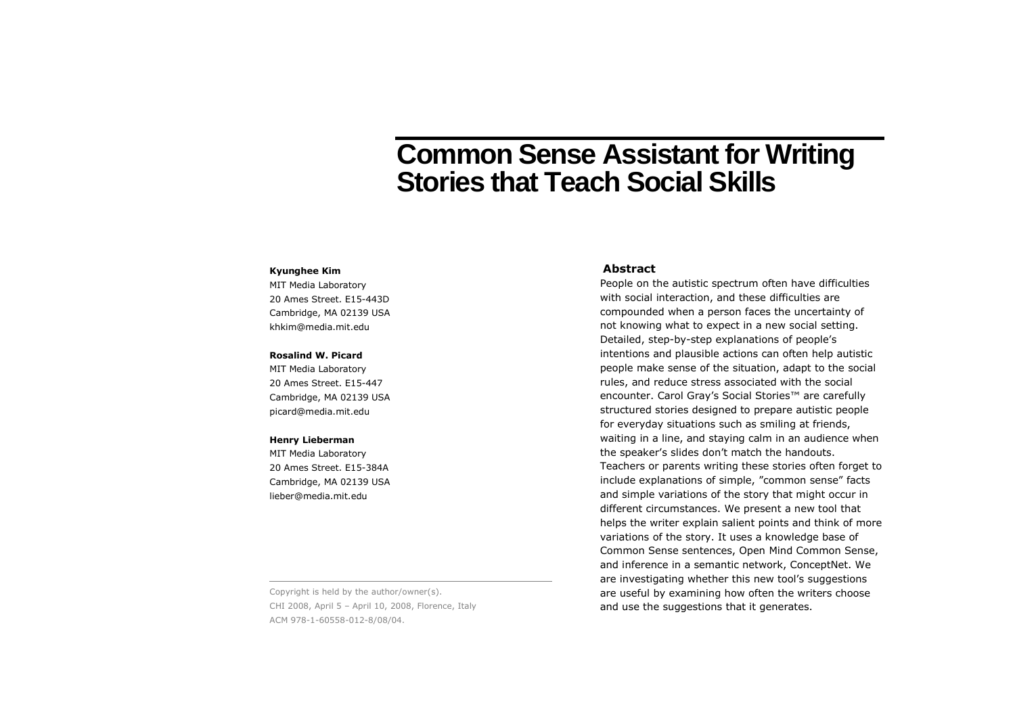# **Common Sense Assistant for Writing Stories that Teach Social Skills**

#### **Kyunghee Kim**

 MIT Media Laboratory 20 Ames Street. E15-443D Cambridge, MA 02139 USA khkim@media.mit.edu

## **Rosalind W. Picard**

MIT Media Laboratory 20 Ames Street. E15-447 Cambridge, MA 02139 USA picard@media.mit.edu

#### **Henry Lieberman**

MIT Media Laboratory 20 Ames Street. E15-384A Cambridge, MA 02139 USA lieber@media.mit.edu

Copyright is held by the author/owner(s). CHI 2008, April 5 – April 10, 2008, Florence, ItalyACM 978-1-60558-012-8/08/04.

## **Abstract**

 People on the autistic spectrum often have difficulties with social interaction, and these difficulties are compounded when a person faces the uncertainty of not knowing what to expect in a new social setting.Detailed, step-by-step explanations of people's intentions and plausible actions can often help autistic people make sense of the situation, adapt to the social rules, and reduce stress associated with the socialencounter. Carol Gray's Social Stories™ are carefully structured stories designed to prepare autistic people for everyday situations such as smiling at friends, waiting in a line, and staying calm in an audience when the speaker's slides don't match the handouts. Teachers or parents writing these stories often forget to include explanations of simple, "common sense" facts and simple variations of the story that might occur in different circumstances. We present a new tool thathelps the writer explain salient points and think of more variations of the story. It uses a knowledge base of Common Sense sentences, Open Mind Common Sense, and inference in a semantic network, ConceptNet. We are investigating whether this new tool's suggestions are useful by examining how often the writers choose and use the suggestions that it generates.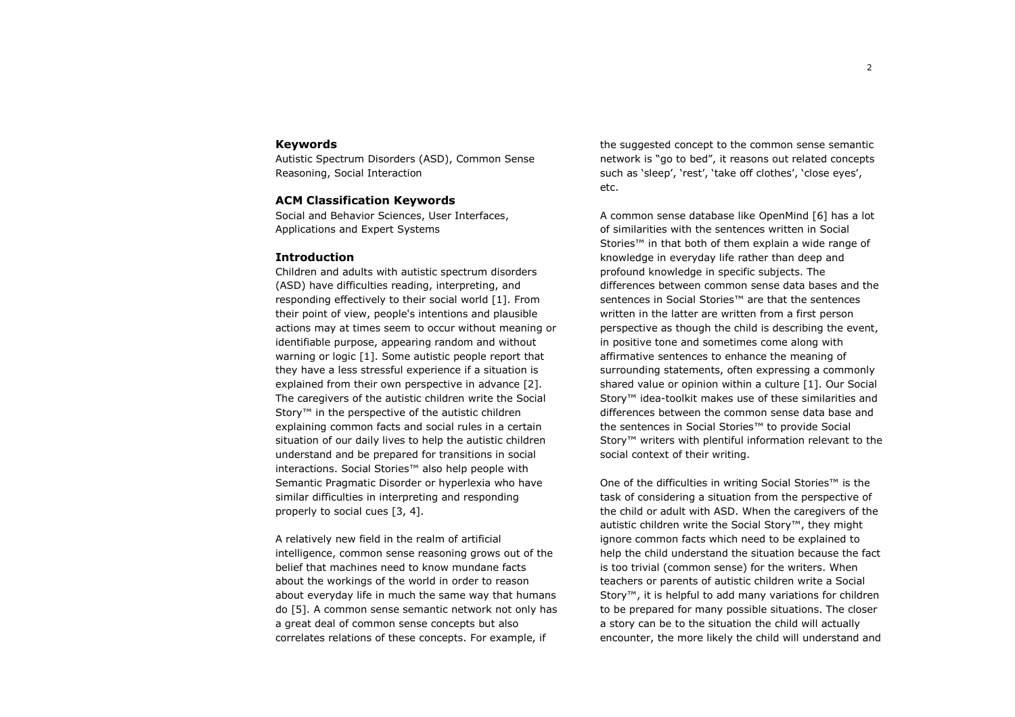# **Keywords**

 Autistic Spectrum Disorders (ASD), Common Sense Reasoning, Social Interaction

# **ACM Classification Keywords**

Social and Behavior Sciences, User Interfaces, Applications and Expert Systems

#### **Introduction**

 Children and adults with autistic spectrum disorders (ASD) have difficulties reading, interpreting, and responding effectively to their social world [1]. From their point of view, people's intentions and plausible actions may at times seem to occur without meaning or identifiable purpose, appearing random and without warning or logic [1]. Some autistic people report that they have a less stressful experience if a situation is explained from their own perspective in advance [2]. The caregivers of the autistic children write the Social Story™ in the perspective of the autistic children explaining common facts and social rules in a certain situation of our daily lives to help the autistic children understand and be prepared for transitions in social interactions. Social Stories™ also help people with Semantic Pragmatic Disorder or hyperlexia who have similar difficulties in interpreting and respondingproperly to social cues [3, 4].

A relatively new field in the realm of artificial intelligence, common sense reasoning grows out of the belief that machines need to know mundane facts about the workings of the world in order to reason about everyday life in much the same way that humans do [5]. A common sense semantic network not only has a great deal of common sense concepts but also correlates relations of these concepts. For example, if

the suggested concept to the common sense semantic network is "go to bed", it reasons out related concepts such as 'sleep', 'rest', 'take off clothes', 'close eyes', etc.

A common sense database like OpenMind [6] has a lotof similarities with the sentences written in Social Stories™ in that both of them explain a wide range of knowledge in everyday life rather than deep and profound knowledge in specific subjects. The differences between common sense data bases and thesentences in Social Stories™ are that the sentences written in the latter are written from a first person perspective as though the child is describing the event, in positive tone and sometimes come along with affirmative sentences to enhance the meaning of surrounding statements, often expressing a commonly shared value or opinion within a culture [1]. Our Social Story™ idea-toolkit makes use of these similarities and differences between the common sense data base and the sentences in Social Stories™ to provide Social Story™ writers with plentiful information relevant to the social context of their writing.

One of the difficulties in writing Social Stories™ is the task of considering a situation from the perspective of the child or adult with ASD. When the caregivers of the autistic children write the Social Story™, they might ignore common facts which need to be explained to help the child understand the situation because the fact is too trivial (common sense) for the writers. When teachers or parents of autistic children write a Social Story™, it is helpful to add many variations for children to be prepared for many possible situations. The closer a story can be to the situation the child will actually encounter, the more likely the child will understand and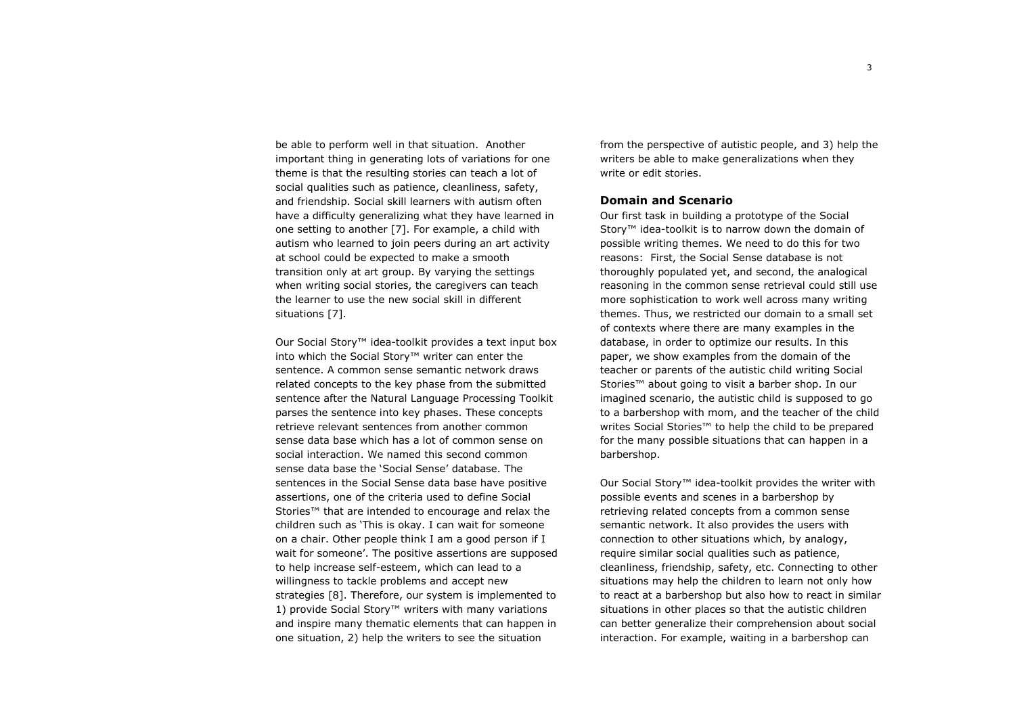be able to perform well in that situation. Another important thing in generating lots of variations for one theme is that the resulting stories can teach a lot of social qualities such as patience, cleanliness, safety, and friendship. Social skill learners with autism often have a difficulty generalizing what they have learned in one setting to another [7]. For example, a child with autism who learned to join peers during an art activity at school could be expected to make a smooth transition only at art group. By varying the settings when writing social stories, the caregivers can teach the learner to use the new social skill in different situations [7].

Our Social Story™ idea-toolkit provides a text input box into which the Social Story™ writer can enter the sentence. A common sense semantic network draws related concepts to the key phase from the submitted sentence after the Natural Language Processing Toolkit parses the sentence into key phases. These conceptsretrieve relevant sentences from another common sense data base which has a lot of common sense on social interaction. We named this second common sense data base the 'Social Sense' database. The sentences in the Social Sense data base have positive assertions, one of the criteria used to define Social Stories™ that are intended to encourage and relax the children such as 'This is okay. I can wait for someone on a chair. Other people think I am a good person if I wait for someone'. The positive assertions are supposed to help increase self-esteem, which can lead to a willingness to tackle problems and accept new strategies [8]. Therefore, our system is implemented to 1) provide Social Story™ writers with many variations and inspire many thematic elements that can happen in one situation, 2) help the writers to see the situation

from the perspective of autistic people, and 3) help the writers be able to make generalizations when they write or edit stories.

## **Domain and Scenario**

Our first task in building a prototype of the Social Story™ idea-toolkit is to narrow down the domain ofpossible writing themes. We need to do this for tworeasons: First, the Social Sense database is not thoroughly populated yet, and second, the analogical reasoning in the common sense retrieval could still use more sophistication to work well across many writing themes. Thus, we restricted our domain to a small set of contexts where there are many examples in the database, in order to optimize our results. In this paper, we show examples from the domain of the teacher or parents of the autistic child writing Social Stories™ about going to visit a barber shop. In our imagined scenario, the autistic child is supposed to go to a barbershop with mom, and the teacher of the child writes Social Stories™ to help the child to be prepared for the many possible situations that can happen in a barbershop.

Our Social Story™ idea-toolkit provides the writer with possible events and scenes in a barbershop by retrieving related concepts from a common sense semantic network. It also provides the users with connection to other situations which, by analogy, require similar social qualities such as patience, cleanliness, friendship, safety, etc. Connecting to other situations may help the children to learn not only how to react at a barbershop but also how to react in similar situations in other places so that the autistic children can better generalize their comprehension about social interaction. For example, waiting in a barbershop can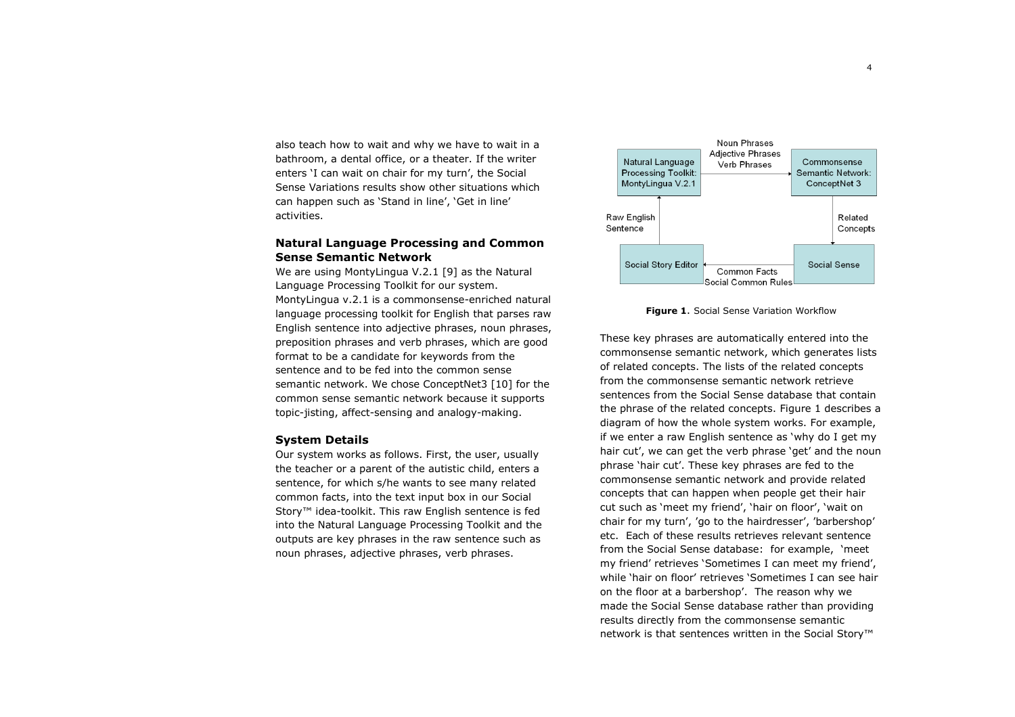also teach how to wait and why we have to wait in a bathroom, a dental office, or a theater. If the writer enters 'I can wait on chair for my turn', the Social Sense Variations results show other situations which can happen such as 'Stand in line', 'Get in line' activities.

# **Natural Language Processing and Common Sense Semantic Network**

 We are using MontyLingua V.2.1 [9] as the Natural Language Processing Toolkit for our system. MontyLingua v.2.1 is a commonsense-enriched naturallanguage processing toolkit for English that parses raw English sentence into adjective phrases, noun phrases, preposition phrases and verb phrases, which are good format to be a candidate for keywords from the sentence and to be fed into the common sense semantic network. We chose ConceptNet3 [10] for the common sense semantic network because it supports topic-jisting, affect-sensing and analogy-making.

#### **System Details**

 Our system works as follows. First, the user, usually the teacher or a parent of the autistic child, enters a sentence, for which s/he wants to see many related common facts, into the text input box in our SocialStory™ idea-toolkit. This raw English sentence is fed into the Natural Language Processing Toolkit and the outputs are key phrases in the raw sentence such asnoun phrases, adjective phrases, verb phrases.



**Figure 1.** Social Sense Variation Workflow

These key phrases are automatically entered into the commonsense semantic network, which generates listsof related concepts. The lists of the related concepts from the commonsense semantic network retrieve sentences from the Social Sense database that contain the phrase of the related concepts. Figure 1 describes a diagram of how the whole system works. For example,if we enter a raw English sentence as 'why do I get my hair cut', we can get the verb phrase 'get' and the noun phrase 'hair cut'. These key phrases are fed to the commonsense semantic network and provide related concepts that can happen when people get their hair cut such as 'meet my friend', 'hair on floor', 'wait on chair for my turn', 'go to the hairdresser', 'barbershop' etc. Each of these results retrieves relevant sentence from the Social Sense database: for example, 'meet my friend' retrieves 'Sometimes I can meet my friend', while 'hair on floor' retrieves 'Sometimes I can see hair on the floor at a barbershop'. The reason why we made the Social Sense database rather than providing results directly from the commonsense semantic network is that sentences written in the Social Story™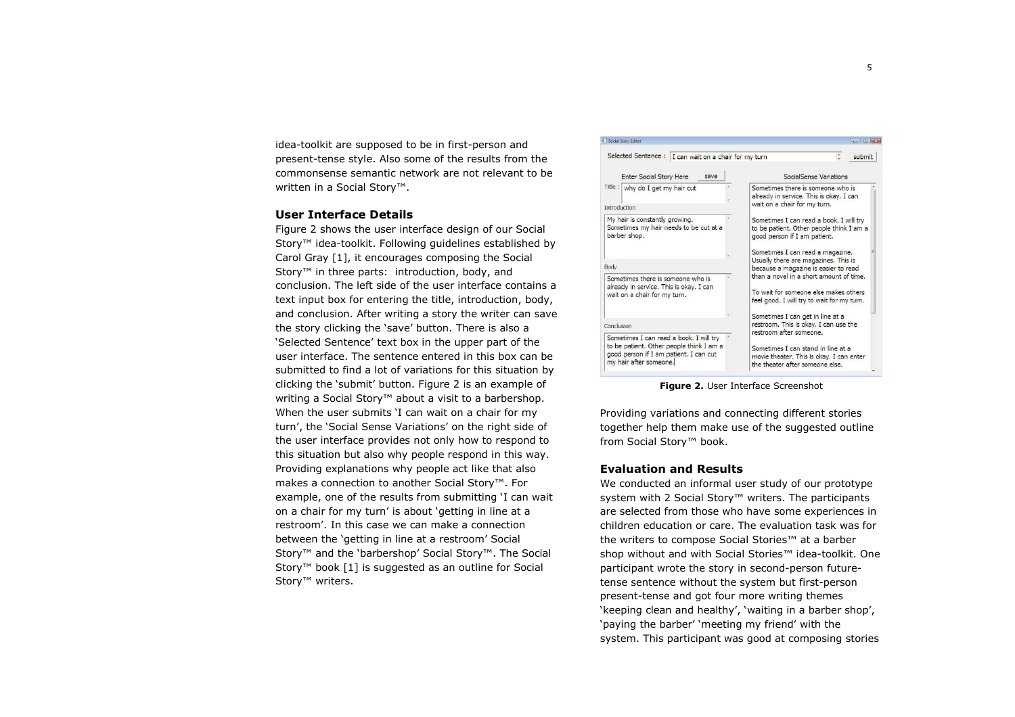idea-toolkit are supposed to be in first-person and present-tense style. Also some of the results from the commonsense semantic network are not relevant to bewritten in a Social Story™.

# **User Interface Details**

 Figure 2 shows the user interface design of our Social Story™ idea-toolkit. Following guidelines established by Carol Gray [1], it encourages composing the Social Story<sup>™</sup> in three parts: introduction, body, and conclusion. The left side of the user interface contains a text input box for entering the title, introduction, body, and conclusion. After writing a story the writer can save the story clicking the 'save' button. There is also a 'Selected Sentence' text box in the upper part of the user interface. The sentence entered in this box can be submitted to find a lot of variations for this situation by clicking the 'submit' button. Figure 2 is an example of writing a Social Story™ about a visit to a barbershop. When the user submits 'I can wait on a chair for my turn', the 'Social Sense Variations' on the right side of the user interface provides not only how to respond to this situation but also why people respond in this way. Providing explanations why people act like that also makes a connection to another Social Story™. For example, one of the results from submitting 'I can wait on a chair for my turn' is about 'getting in line at a restroom'. In this case we can make a connection between the 'getting in line at a restroom' Social Story™ and the 'barbershop' Social Story™. The Social Story™ book [1] is suggested as an outline for Social Story™ writers.



**Figure 2.** User Interface Screenshot

Providing variations and connecting different stories together help them make use of the suggested outline from Social Story™ book.

# **Evaluation and Results**

We conducted an informal user study of our prototype system with 2 Social Story<sup>™</sup> writers. The participants are selected from those who have some experiences in children education or care. The evaluation task was for the writers to compose Social Stories™ at a barber shop without and with Social Stories™ idea-toolkit. One participant wrote the story in second-person future tense sentence without the system but first-person present-tense and got four more writing themes 'keeping clean and healthy', 'waiting in a barber shop', 'paying the barber' 'meeting my friend' with the system. This participant was good at composing stories